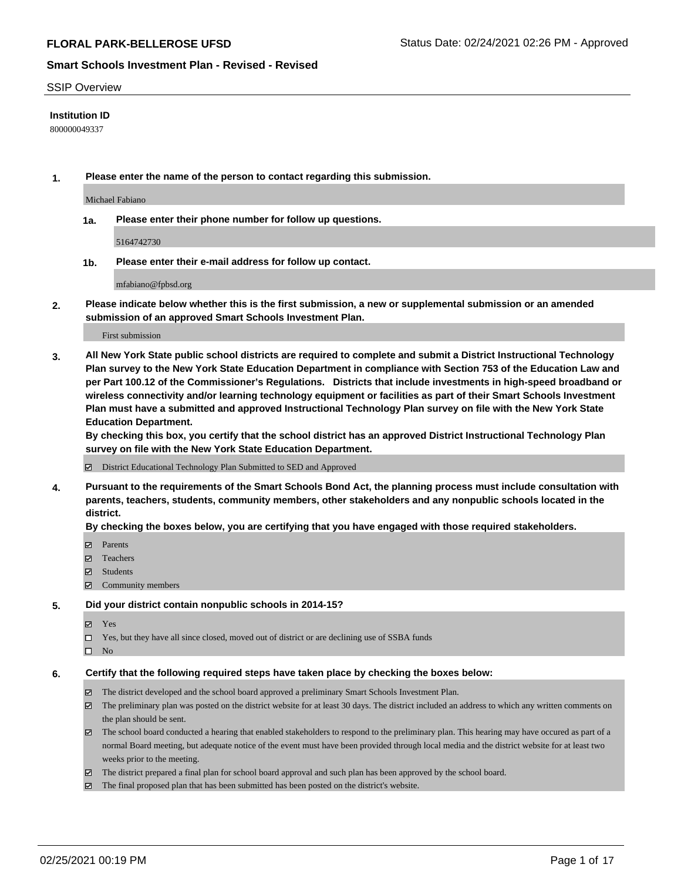## SSIP Overview

## **Institution ID**

800000049337

**1. Please enter the name of the person to contact regarding this submission.**

Michael Fabiano

**1a. Please enter their phone number for follow up questions.**

5164742730

**1b. Please enter their e-mail address for follow up contact.**

mfabiano@fpbsd.org

**2. Please indicate below whether this is the first submission, a new or supplemental submission or an amended submission of an approved Smart Schools Investment Plan.**

## First submission

**3. All New York State public school districts are required to complete and submit a District Instructional Technology Plan survey to the New York State Education Department in compliance with Section 753 of the Education Law and per Part 100.12 of the Commissioner's Regulations. Districts that include investments in high-speed broadband or wireless connectivity and/or learning technology equipment or facilities as part of their Smart Schools Investment Plan must have a submitted and approved Instructional Technology Plan survey on file with the New York State Education Department.** 

**By checking this box, you certify that the school district has an approved District Instructional Technology Plan survey on file with the New York State Education Department.**

District Educational Technology Plan Submitted to SED and Approved

**4. Pursuant to the requirements of the Smart Schools Bond Act, the planning process must include consultation with parents, teachers, students, community members, other stakeholders and any nonpublic schools located in the district.** 

## **By checking the boxes below, you are certifying that you have engaged with those required stakeholders.**

- **□** Parents
- Teachers
- Students
- Community members

## **5. Did your district contain nonpublic schools in 2014-15?**

- Yes
- □ Yes, but they have all since closed, moved out of district or are declining use of SSBA funds
- $\hfill \square$  No

## **6. Certify that the following required steps have taken place by checking the boxes below:**

- The district developed and the school board approved a preliminary Smart Schools Investment Plan.
- The preliminary plan was posted on the district website for at least 30 days. The district included an address to which any written comments on the plan should be sent.
- The school board conducted a hearing that enabled stakeholders to respond to the preliminary plan. This hearing may have occured as part of a normal Board meeting, but adequate notice of the event must have been provided through local media and the district website for at least two weeks prior to the meeting.
- The district prepared a final plan for school board approval and such plan has been approved by the school board.
- $\boxtimes$  The final proposed plan that has been submitted has been posted on the district's website.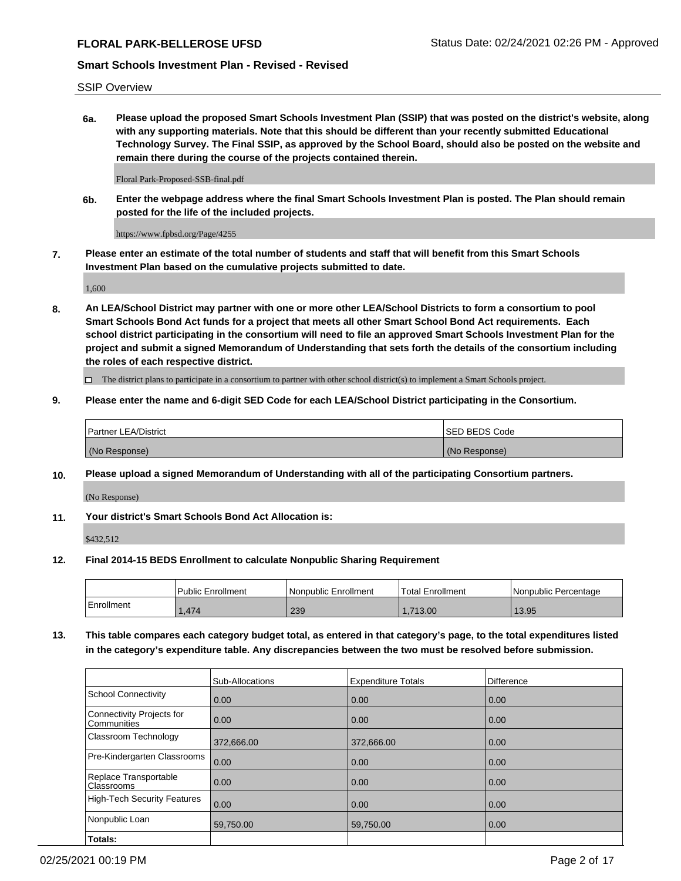SSIP Overview

**6a. Please upload the proposed Smart Schools Investment Plan (SSIP) that was posted on the district's website, along with any supporting materials. Note that this should be different than your recently submitted Educational Technology Survey. The Final SSIP, as approved by the School Board, should also be posted on the website and remain there during the course of the projects contained therein.**

Floral Park-Proposed-SSB-final.pdf

**6b. Enter the webpage address where the final Smart Schools Investment Plan is posted. The Plan should remain posted for the life of the included projects.**

https://www.fpbsd.org/Page/4255

**7. Please enter an estimate of the total number of students and staff that will benefit from this Smart Schools Investment Plan based on the cumulative projects submitted to date.**

1,600

**8. An LEA/School District may partner with one or more other LEA/School Districts to form a consortium to pool Smart Schools Bond Act funds for a project that meets all other Smart School Bond Act requirements. Each school district participating in the consortium will need to file an approved Smart Schools Investment Plan for the project and submit a signed Memorandum of Understanding that sets forth the details of the consortium including the roles of each respective district.**

 $\Box$  The district plans to participate in a consortium to partner with other school district(s) to implement a Smart Schools project.

## **9. Please enter the name and 6-digit SED Code for each LEA/School District participating in the Consortium.**

| Partner LEA/District | ISED BEDS Code |
|----------------------|----------------|
| (No Response)        | (No Response)  |

# **10. Please upload a signed Memorandum of Understanding with all of the participating Consortium partners.**

(No Response)

**11. Your district's Smart Schools Bond Act Allocation is:**

\$432,512

## **12. Final 2014-15 BEDS Enrollment to calculate Nonpublic Sharing Requirement**

|            | l Public Enrollment | Nonpublic Enrollment | Total Enrollment | I Nonpublic Percentage |
|------------|---------------------|----------------------|------------------|------------------------|
| Enrollment | .474                | 239                  | 713.00           | 13.95                  |

**13. This table compares each category budget total, as entered in that category's page, to the total expenditures listed in the category's expenditure table. Any discrepancies between the two must be resolved before submission.**

|                                          | Sub-Allocations | <b>Expenditure Totals</b> | <b>Difference</b> |
|------------------------------------------|-----------------|---------------------------|-------------------|
| <b>School Connectivity</b>               | 0.00            | 0.00                      | 0.00              |
| Connectivity Projects for<br>Communities | 0.00            | 0.00                      | 0.00              |
| Classroom Technology                     | 372,666.00      | 372,666.00                | 0.00              |
| Pre-Kindergarten Classrooms              | 0.00            | 0.00                      | 0.00              |
| Replace Transportable<br>Classrooms      | 0.00            | 0.00                      | 0.00              |
| <b>High-Tech Security Features</b>       | 0.00            | 0.00                      | 0.00              |
| Nonpublic Loan                           | 59,750.00       | 59,750.00                 | 0.00              |
| Totals:                                  |                 |                           |                   |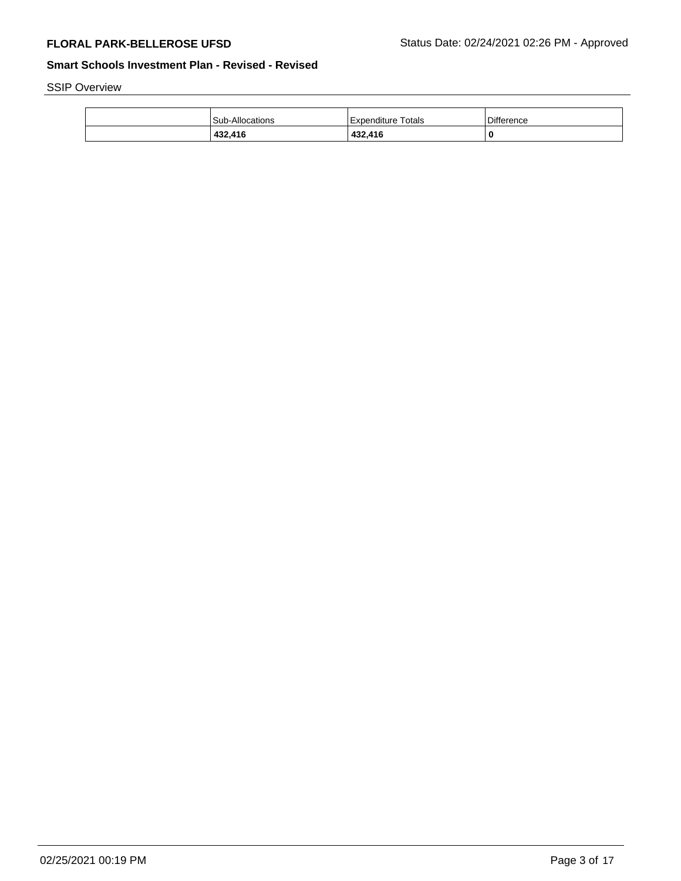SSIP Overview

| 432,416                | 432,416              | 0                 |
|------------------------|----------------------|-------------------|
| <b>Sub-Allocations</b> | l Expenditure Totals | <b>Difference</b> |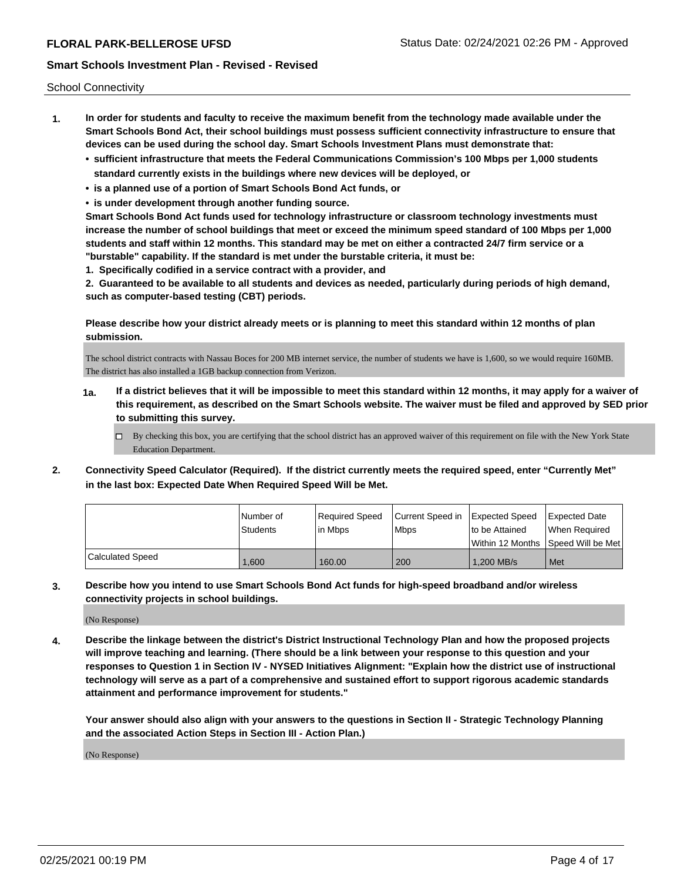School Connectivity

- **1. In order for students and faculty to receive the maximum benefit from the technology made available under the Smart Schools Bond Act, their school buildings must possess sufficient connectivity infrastructure to ensure that devices can be used during the school day. Smart Schools Investment Plans must demonstrate that:**
	- **• sufficient infrastructure that meets the Federal Communications Commission's 100 Mbps per 1,000 students standard currently exists in the buildings where new devices will be deployed, or**
	- **• is a planned use of a portion of Smart Schools Bond Act funds, or**
	- **• is under development through another funding source.**

**Smart Schools Bond Act funds used for technology infrastructure or classroom technology investments must increase the number of school buildings that meet or exceed the minimum speed standard of 100 Mbps per 1,000 students and staff within 12 months. This standard may be met on either a contracted 24/7 firm service or a "burstable" capability. If the standard is met under the burstable criteria, it must be:**

**1. Specifically codified in a service contract with a provider, and**

**2. Guaranteed to be available to all students and devices as needed, particularly during periods of high demand, such as computer-based testing (CBT) periods.**

**Please describe how your district already meets or is planning to meet this standard within 12 months of plan submission.**

The school district contracts with Nassau Boces for 200 MB internet service, the number of students we have is 1,600, so we would require 160MB. The district has also installed a 1GB backup connection from Verizon.

- **1a. If a district believes that it will be impossible to meet this standard within 12 months, it may apply for a waiver of this requirement, as described on the Smart Schools website. The waiver must be filed and approved by SED prior to submitting this survey.**
	- $\Box$  By checking this box, you are certifying that the school district has an approved waiver of this requirement on file with the New York State Education Department.
- **2. Connectivity Speed Calculator (Required). If the district currently meets the required speed, enter "Currently Met" in the last box: Expected Date When Required Speed Will be Met.**

|                  | l Number of<br>Students | Reauired Speed<br>l in Mbps | Current Speed in<br>l Mbps | Expected Speed<br>Ito be Attained   | Expected Date<br>When Required |
|------------------|-------------------------|-----------------------------|----------------------------|-------------------------------------|--------------------------------|
|                  |                         |                             |                            | Within 12 Months  Speed Will be Met |                                |
| Calculated Speed | 1,600                   | 160.00                      | 200                        | 1,200 MB/s                          | Met                            |

**3. Describe how you intend to use Smart Schools Bond Act funds for high-speed broadband and/or wireless connectivity projects in school buildings.**

(No Response)

**4. Describe the linkage between the district's District Instructional Technology Plan and how the proposed projects will improve teaching and learning. (There should be a link between your response to this question and your responses to Question 1 in Section IV - NYSED Initiatives Alignment: "Explain how the district use of instructional technology will serve as a part of a comprehensive and sustained effort to support rigorous academic standards attainment and performance improvement for students."** 

**Your answer should also align with your answers to the questions in Section II - Strategic Technology Planning and the associated Action Steps in Section III - Action Plan.)**

(No Response)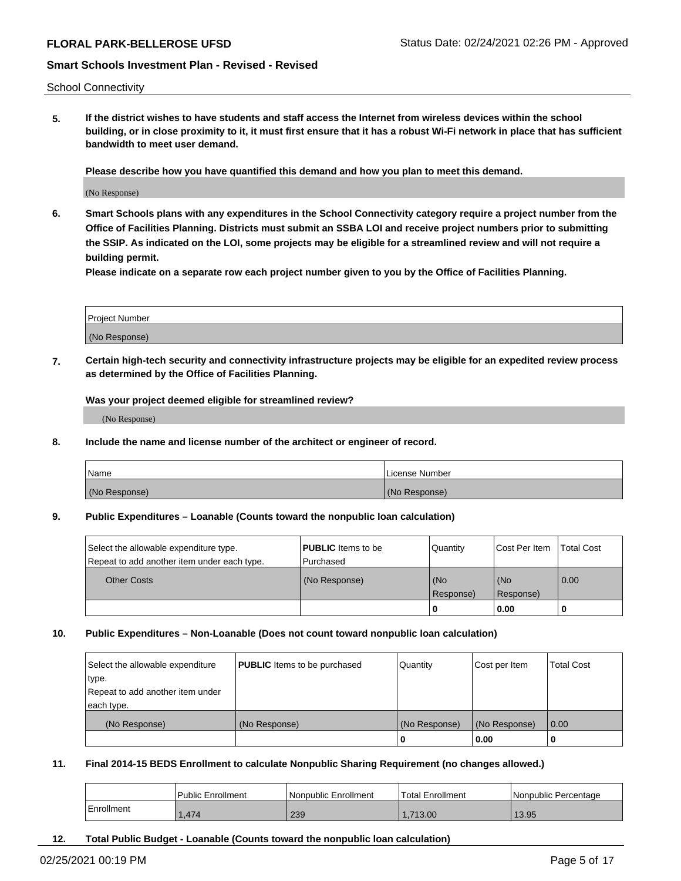School Connectivity

**5. If the district wishes to have students and staff access the Internet from wireless devices within the school building, or in close proximity to it, it must first ensure that it has a robust Wi-Fi network in place that has sufficient bandwidth to meet user demand.**

**Please describe how you have quantified this demand and how you plan to meet this demand.**

(No Response)

**6. Smart Schools plans with any expenditures in the School Connectivity category require a project number from the Office of Facilities Planning. Districts must submit an SSBA LOI and receive project numbers prior to submitting the SSIP. As indicated on the LOI, some projects may be eligible for a streamlined review and will not require a building permit.**

**Please indicate on a separate row each project number given to you by the Office of Facilities Planning.**

| Project Number |  |
|----------------|--|
|                |  |
| (No Response)  |  |

**7. Certain high-tech security and connectivity infrastructure projects may be eligible for an expedited review process as determined by the Office of Facilities Planning.**

**Was your project deemed eligible for streamlined review?**

(No Response)

**8. Include the name and license number of the architect or engineer of record.**

| Name          | License Number |
|---------------|----------------|
| (No Response) | (No Response)  |

## **9. Public Expenditures – Loanable (Counts toward the nonpublic loan calculation)**

| Select the allowable expenditure type.      | <b>PUBLIC</b> Items to be | Quantity         | Cost Per Item    | <b>Total Cost</b> |
|---------------------------------------------|---------------------------|------------------|------------------|-------------------|
| Repeat to add another item under each type. | l Purchased               |                  |                  |                   |
| <b>Other Costs</b>                          | (No Response)             | (No<br>Response) | (No<br>Response) | $\overline{0.00}$ |
|                                             |                           | -0               | 0.00             |                   |

## **10. Public Expenditures – Non-Loanable (Does not count toward nonpublic loan calculation)**

| Select the allowable expenditure<br>type.<br>Repeat to add another item under | <b>PUBLIC</b> Items to be purchased | Quantity      | Cost per Item | <b>Total Cost</b> |
|-------------------------------------------------------------------------------|-------------------------------------|---------------|---------------|-------------------|
| each type.<br>(No Response)                                                   | (No Response)                       | (No Response) | (No Response) | 0.00              |
|                                                                               |                                     | 0             | 0.00          |                   |

## **11. Final 2014-15 BEDS Enrollment to calculate Nonpublic Sharing Requirement (no changes allowed.)**

|            | Public Enrollment | l Nonpublic Enrollment | <sup>1</sup> Total Enrollment | I Nonpublic Percentage |
|------------|-------------------|------------------------|-------------------------------|------------------------|
| Enrollment | .474              | 239                    | .713.00                       | 13.95                  |

**12. Total Public Budget - Loanable (Counts toward the nonpublic loan calculation)**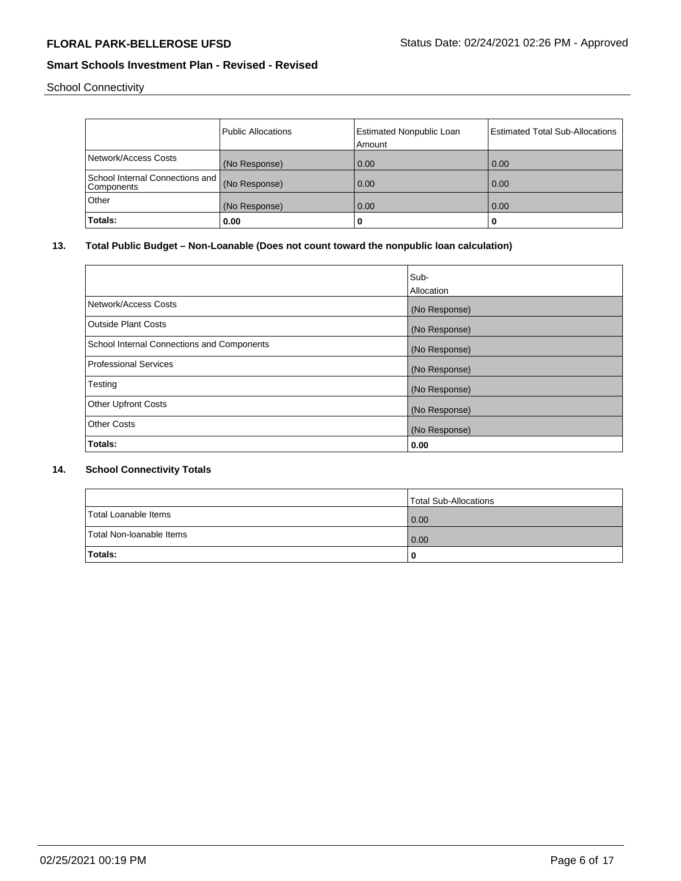School Connectivity

|                                                             | <b>Public Allocations</b> | <b>Estimated Nonpublic Loan</b><br>Amount | <b>Estimated Total Sub-Allocations</b> |
|-------------------------------------------------------------|---------------------------|-------------------------------------------|----------------------------------------|
| Network/Access Costs                                        | (No Response)             | 0.00                                      | 0.00                                   |
| School Internal Connections and (No Response)<br>Components |                           | 0.00                                      | 0.00                                   |
| Other                                                       | (No Response)             | 0.00                                      | 0.00                                   |
| Totals:                                                     | 0.00                      | 0                                         | 0                                      |

# **13. Total Public Budget – Non-Loanable (Does not count toward the nonpublic loan calculation)**

|                                            | Sub-<br>Allocation |
|--------------------------------------------|--------------------|
| Network/Access Costs                       | (No Response)      |
| <b>Outside Plant Costs</b>                 | (No Response)      |
| School Internal Connections and Components | (No Response)      |
| <b>Professional Services</b>               | (No Response)      |
| Testing                                    | (No Response)      |
| <b>Other Upfront Costs</b>                 | (No Response)      |
| <b>Other Costs</b>                         | (No Response)      |
| Totals:                                    | 0.00               |

# **14. School Connectivity Totals**

|                          | Total Sub-Allocations |
|--------------------------|-----------------------|
| Total Loanable Items     | 0.00                  |
| Total Non-Ioanable Items | 0.00                  |
| <b>Totals:</b>           |                       |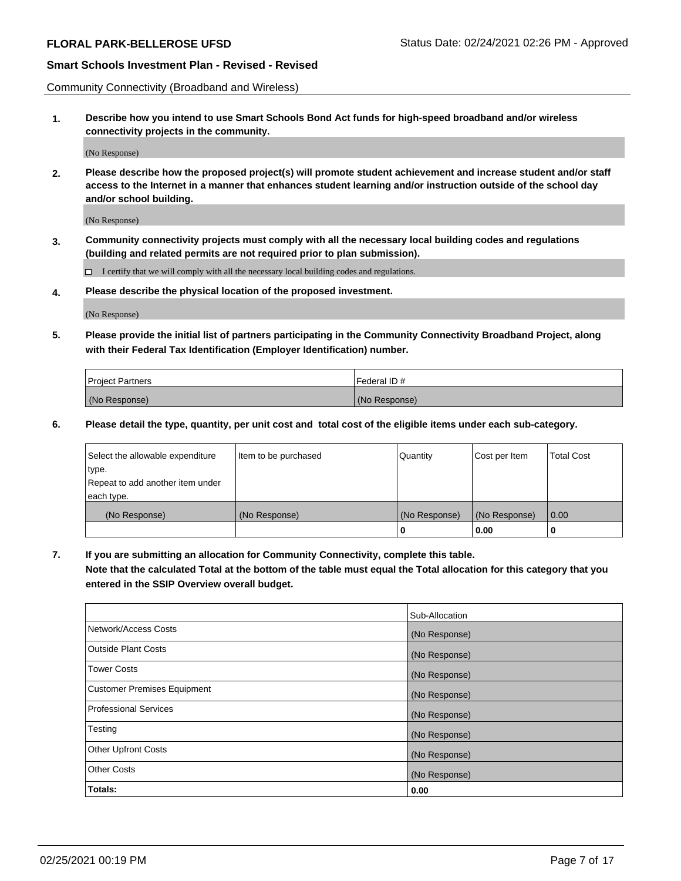Community Connectivity (Broadband and Wireless)

**1. Describe how you intend to use Smart Schools Bond Act funds for high-speed broadband and/or wireless connectivity projects in the community.**

(No Response)

**2. Please describe how the proposed project(s) will promote student achievement and increase student and/or staff access to the Internet in a manner that enhances student learning and/or instruction outside of the school day and/or school building.**

(No Response)

**3. Community connectivity projects must comply with all the necessary local building codes and regulations (building and related permits are not required prior to plan submission).**

 $\Box$  I certify that we will comply with all the necessary local building codes and regulations.

**4. Please describe the physical location of the proposed investment.**

(No Response)

**5. Please provide the initial list of partners participating in the Community Connectivity Broadband Project, along with their Federal Tax Identification (Employer Identification) number.**

| <b>Project Partners</b> | l Federal ID # |
|-------------------------|----------------|
| (No Response)           | (No Response)  |

**6. Please detail the type, quantity, per unit cost and total cost of the eligible items under each sub-category.**

| Select the allowable expenditure | Item to be purchased | Quantity      | Cost per Item | <b>Total Cost</b> |
|----------------------------------|----------------------|---------------|---------------|-------------------|
| type.                            |                      |               |               |                   |
| Repeat to add another item under |                      |               |               |                   |
| each type.                       |                      |               |               |                   |
| (No Response)                    | (No Response)        | (No Response) | (No Response) | 0.00              |
|                                  |                      | o             | 0.00          |                   |

**7. If you are submitting an allocation for Community Connectivity, complete this table.**

**Note that the calculated Total at the bottom of the table must equal the Total allocation for this category that you entered in the SSIP Overview overall budget.**

|                                    | Sub-Allocation |
|------------------------------------|----------------|
| Network/Access Costs               | (No Response)  |
| Outside Plant Costs                | (No Response)  |
| <b>Tower Costs</b>                 | (No Response)  |
| <b>Customer Premises Equipment</b> | (No Response)  |
| <b>Professional Services</b>       | (No Response)  |
| Testing                            | (No Response)  |
| <b>Other Upfront Costs</b>         | (No Response)  |
| <b>Other Costs</b>                 | (No Response)  |
| Totals:                            | 0.00           |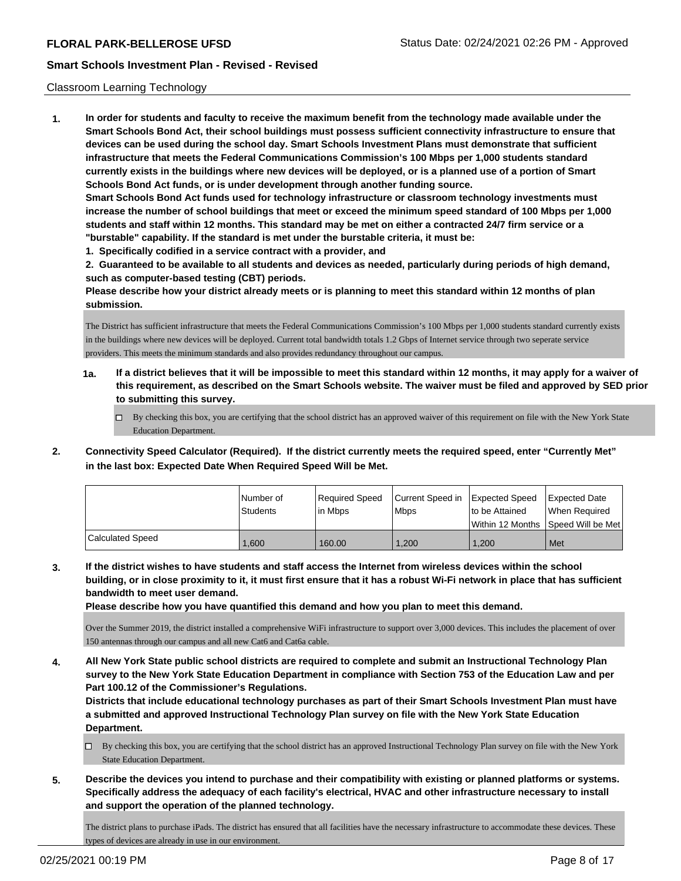## Classroom Learning Technology

**1. In order for students and faculty to receive the maximum benefit from the technology made available under the Smart Schools Bond Act, their school buildings must possess sufficient connectivity infrastructure to ensure that devices can be used during the school day. Smart Schools Investment Plans must demonstrate that sufficient infrastructure that meets the Federal Communications Commission's 100 Mbps per 1,000 students standard currently exists in the buildings where new devices will be deployed, or is a planned use of a portion of Smart Schools Bond Act funds, or is under development through another funding source. Smart Schools Bond Act funds used for technology infrastructure or classroom technology investments must increase the number of school buildings that meet or exceed the minimum speed standard of 100 Mbps per 1,000 students and staff within 12 months. This standard may be met on either a contracted 24/7 firm service or a "burstable" capability. If the standard is met under the burstable criteria, it must be: 1. Specifically codified in a service contract with a provider, and**

**2. Guaranteed to be available to all students and devices as needed, particularly during periods of high demand, such as computer-based testing (CBT) periods.**

**Please describe how your district already meets or is planning to meet this standard within 12 months of plan submission.**

The District has sufficient infrastructure that meets the Federal Communications Commission's 100 Mbps per 1,000 students standard currently exists in the buildings where new devices will be deployed. Current total bandwidth totals 1.2 Gbps of Internet service through two seperate service providers. This meets the minimum standards and also provides redundancy throughout our campus.

- **1a. If a district believes that it will be impossible to meet this standard within 12 months, it may apply for a waiver of this requirement, as described on the Smart Schools website. The waiver must be filed and approved by SED prior to submitting this survey.**
	- By checking this box, you are certifying that the school district has an approved waiver of this requirement on file with the New York State Education Department.
- **2. Connectivity Speed Calculator (Required). If the district currently meets the required speed, enter "Currently Met" in the last box: Expected Date When Required Speed Will be Met.**

|                  | l Number of<br>Students | Required Speed<br>lin Mbps | Current Speed in Expected Speed<br><b>Mbps</b> | to be Attained<br>Within 12 Months | Expected Date<br>When Reauired<br>Speed Will be Met |
|------------------|-------------------------|----------------------------|------------------------------------------------|------------------------------------|-----------------------------------------------------|
| Calculated Speed | .600                    | 160.00                     | 1.200                                          | 1.200                              | Met                                                 |

**3. If the district wishes to have students and staff access the Internet from wireless devices within the school building, or in close proximity to it, it must first ensure that it has a robust Wi-Fi network in place that has sufficient bandwidth to meet user demand.**

**Please describe how you have quantified this demand and how you plan to meet this demand.**

Over the Summer 2019, the district installed a comprehensive WiFi infrastructure to support over 3,000 devices. This includes the placement of over 150 antennas through our campus and all new Cat6 and Cat6a cable.

**4. All New York State public school districts are required to complete and submit an Instructional Technology Plan survey to the New York State Education Department in compliance with Section 753 of the Education Law and per Part 100.12 of the Commissioner's Regulations.**

**Districts that include educational technology purchases as part of their Smart Schools Investment Plan must have a submitted and approved Instructional Technology Plan survey on file with the New York State Education Department.**

- By checking this box, you are certifying that the school district has an approved Instructional Technology Plan survey on file with the New York State Education Department.
- **5. Describe the devices you intend to purchase and their compatibility with existing or planned platforms or systems. Specifically address the adequacy of each facility's electrical, HVAC and other infrastructure necessary to install and support the operation of the planned technology.**

The district plans to purchase iPads. The district has ensured that all facilities have the necessary infrastructure to accommodate these devices. These types of devices are already in use in our environment.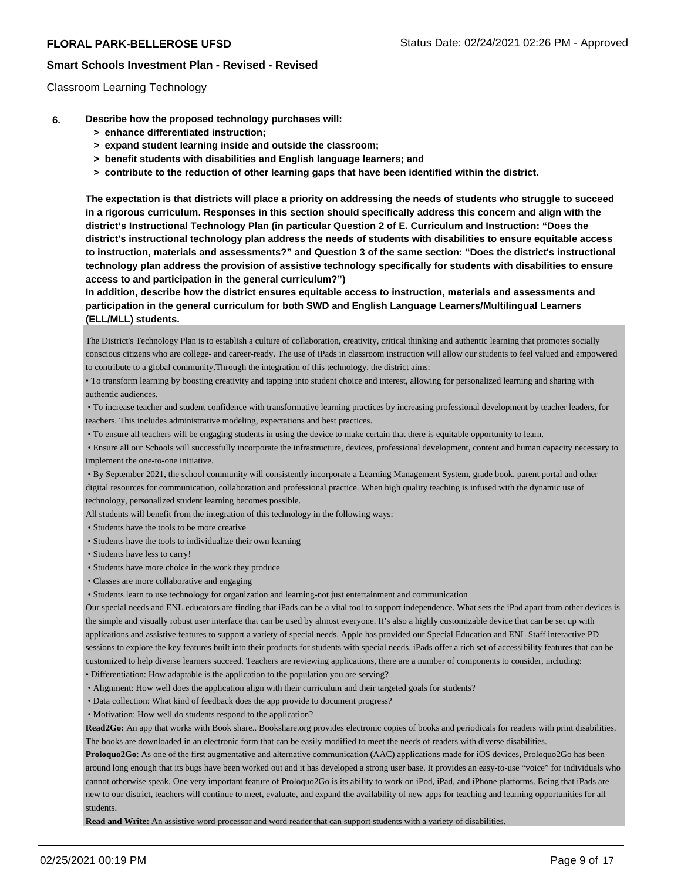## Classroom Learning Technology

- **6. Describe how the proposed technology purchases will:**
	- **> enhance differentiated instruction;**
	- **> expand student learning inside and outside the classroom;**
	- **> benefit students with disabilities and English language learners; and**
	- **> contribute to the reduction of other learning gaps that have been identified within the district.**

**The expectation is that districts will place a priority on addressing the needs of students who struggle to succeed in a rigorous curriculum. Responses in this section should specifically address this concern and align with the district's Instructional Technology Plan (in particular Question 2 of E. Curriculum and Instruction: "Does the district's instructional technology plan address the needs of students with disabilities to ensure equitable access to instruction, materials and assessments?" and Question 3 of the same section: "Does the district's instructional technology plan address the provision of assistive technology specifically for students with disabilities to ensure access to and participation in the general curriculum?")**

**In addition, describe how the district ensures equitable access to instruction, materials and assessments and participation in the general curriculum for both SWD and English Language Learners/Multilingual Learners (ELL/MLL) students.**

The District's Technology Plan is to establish a culture of collaboration, creativity, critical thinking and authentic learning that promotes socially conscious citizens who are college- and career-ready. The use of iPads in classroom instruction will allow our students to feel valued and empowered to contribute to a global community.Through the integration of this technology, the district aims:

• To transform learning by boosting creativity and tapping into student choice and interest, allowing for personalized learning and sharing with authentic audiences.

 • To increase teacher and student confidence with transformative learning practices by increasing professional development by teacher leaders, for teachers. This includes administrative modeling, expectations and best practices.

• To ensure all teachers will be engaging students in using the device to make certain that there is equitable opportunity to learn.

 • Ensure all our Schools will successfully incorporate the infrastructure, devices, professional development, content and human capacity necessary to implement the one-to-one initiative.

 • By September 2021, the school community will consistently incorporate a Learning Management System, grade book, parent portal and other digital resources for communication, collaboration and professional practice. When high quality teaching is infused with the dynamic use of technology, personalized student learning becomes possible.

All students will benefit from the integration of this technology in the following ways:

• Students have the tools to be more creative

- Students have the tools to individualize their own learning
- Students have less to carry!
- Students have more choice in the work they produce
- Classes are more collaborative and engaging
- Students learn to use technology for organization and learning-not just entertainment and communication

Our special needs and ENL educators are finding that iPads can be a vital tool to support independence. What sets the iPad apart from other devices is the simple and visually robust user interface that can be used by almost everyone. It's also a highly customizable device that can be set up with applications and assistive features to support a variety of special needs. Apple has provided our Special Education and ENL Staff interactive PD sessions to explore the key features built into their products for students with special needs. iPads offer a rich set of accessibility features that can be customized to help diverse learners succeed. Teachers are reviewing applications, there are a number of components to consider, including: • Differentiation: How adaptable is the application to the population you are serving?

• Alignment: How well does the application align with their curriculum and their targeted goals for students?

• Data collection: What kind of feedback does the app provide to document progress?

• Motivation: How well do students respond to the application?

Read2Go: An app that works with Book share.. Bookshare.org provides electronic copies of books and periodicals for readers with print disabilities. The books are downloaded in an electronic form that can be easily modified to meet the needs of readers with diverse disabilities.

**Proloquo2Go**: As one of the first augmentative and alternative communication (AAC) applications made for iOS devices, Proloquo2Go has been around long enough that its bugs have been worked out and it has developed a strong user base. It provides an easy-to-use "voice" for individuals who cannot otherwise speak. One very important feature of Proloquo2Go is its ability to work on iPod, iPad, and iPhone platforms. Being that iPads are new to our district, teachers will continue to meet, evaluate, and expand the availability of new apps for teaching and learning opportunities for all students.

**Read and Write:** An assistive word processor and word reader that can support students with a variety of disabilities.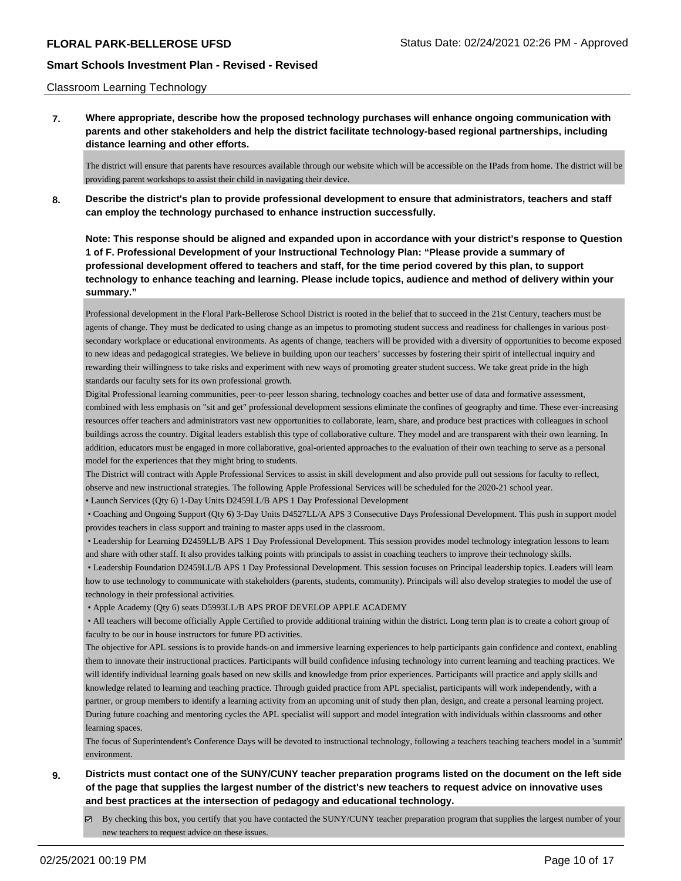## Classroom Learning Technology

**7. Where appropriate, describe how the proposed technology purchases will enhance ongoing communication with parents and other stakeholders and help the district facilitate technology-based regional partnerships, including distance learning and other efforts.**

The district will ensure that parents have resources available through our website which will be accessible on the IPads from home. The district will be providing parent workshops to assist their child in navigating their device.

**8. Describe the district's plan to provide professional development to ensure that administrators, teachers and staff can employ the technology purchased to enhance instruction successfully.**

**Note: This response should be aligned and expanded upon in accordance with your district's response to Question 1 of F. Professional Development of your Instructional Technology Plan: "Please provide a summary of professional development offered to teachers and staff, for the time period covered by this plan, to support technology to enhance teaching and learning. Please include topics, audience and method of delivery within your summary."**

Professional development in the Floral Park-Bellerose School District is rooted in the belief that to succeed in the 21st Century, teachers must be agents of change. They must be dedicated to using change as an impetus to promoting student success and readiness for challenges in various postsecondary workplace or educational environments. As agents of change, teachers will be provided with a diversity of opportunities to become exposed to new ideas and pedagogical strategies. We believe in building upon our teachers' successes by fostering their spirit of intellectual inquiry and rewarding their willingness to take risks and experiment with new ways of promoting greater student success. We take great pride in the high standards our faculty sets for its own professional growth.

Digital Professional learning communities, peer-to-peer lesson sharing, technology coaches and better use of data and formative assessment, combined with less emphasis on "sit and get" professional development sessions eliminate the confines of geography and time. These ever-increasing resources offer teachers and administrators vast new opportunities to collaborate, learn, share, and produce best practices with colleagues in school buildings across the country. Digital leaders establish this type of collaborative culture. They model and are transparent with their own learning. In addition, educators must be engaged in more collaborative, goal-oriented approaches to the evaluation of their own teaching to serve as a personal model for the experiences that they might bring to students.

The District will contract with Apple Professional Services to assist in skill development and also provide pull out sessions for faculty to reflect, observe and new instructional strategies. The following Apple Professional Services will be scheduled for the 2020-21 school year.

• Launch Services (Qty 6) 1-Day Units D2459LL/B APS 1 Day Professional Development

 • Coaching and Ongoing Support (Qty 6) 3-Day Units D4527LL/A APS 3 Consecutive Days Professional Development. This push in support model provides teachers in class support and training to master apps used in the classroom.

 • Leadership for Learning D2459LL/B APS 1 Day Professional Development. This session provides model technology integration lessons to learn and share with other staff. It also provides talking points with principals to assist in coaching teachers to improve their technology skills.

 • Leadership Foundation D2459LL/B APS 1 Day Professional Development. This session focuses on Principal leadership topics. Leaders will learn how to use technology to communicate with stakeholders (parents, students, community). Principals will also develop strategies to model the use of technology in their professional activities.

• Apple Academy (Qty 6) seats D5993LL/B APS PROF DEVELOP APPLE ACADEMY

 • All teachers will become officially Apple Certified to provide additional training within the district. Long term plan is to create a cohort group of faculty to be our in house instructors for future PD activities.

The objective for APL sessions is to provide hands-on and immersive learning experiences to help participants gain confidence and context, enabling them to innovate their instructional practices. Participants will build confidence infusing technology into current learning and teaching practices. We will identify individual learning goals based on new skills and knowledge from prior experiences. Participants will practice and apply skills and knowledge related to learning and teaching practice. Through guided practice from APL specialist, participants will work independently, with a partner, or group members to identify a learning activity from an upcoming unit of study then plan, design, and create a personal learning project. During future coaching and mentoring cycles the APL specialist will support and model integration with individuals within classrooms and other learning spaces.

The focus of Superintendent's Conference Days will be devoted to instructional technology, following a teachers teaching teachers model in a 'summit' environment.

- **9. Districts must contact one of the SUNY/CUNY teacher preparation programs listed on the document on the left side of the page that supplies the largest number of the district's new teachers to request advice on innovative uses and best practices at the intersection of pedagogy and educational technology.**
	- $\boxtimes$  By checking this box, you certify that you have contacted the SUNY/CUNY teacher preparation program that supplies the largest number of your new teachers to request advice on these issues.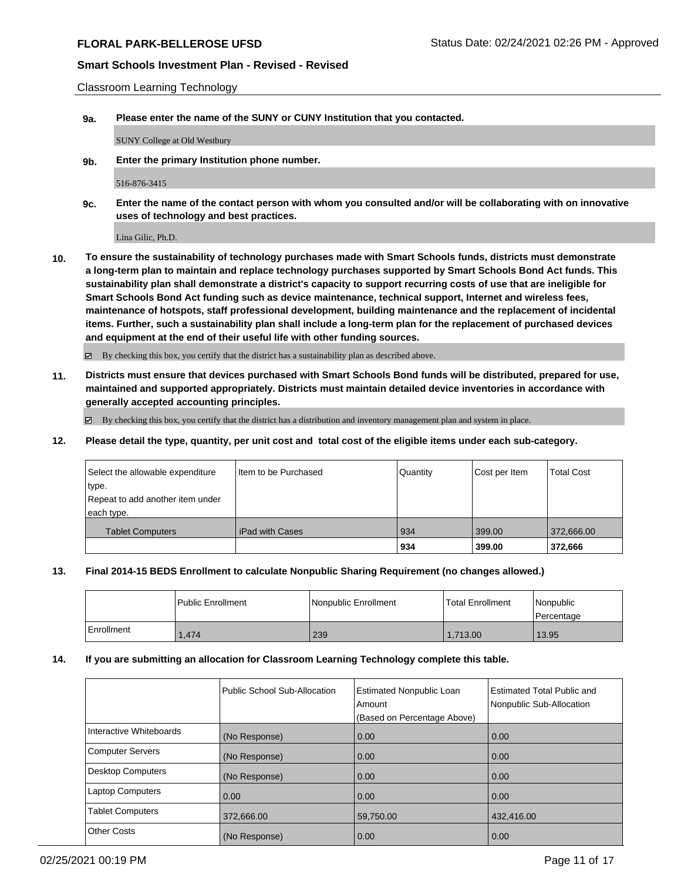Classroom Learning Technology

**9a. Please enter the name of the SUNY or CUNY Institution that you contacted.**

SUNY College at Old Westbury

**9b. Enter the primary Institution phone number.**

516-876-3415

**9c. Enter the name of the contact person with whom you consulted and/or will be collaborating with on innovative uses of technology and best practices.**

Lina Gilic, Ph.D.

**10. To ensure the sustainability of technology purchases made with Smart Schools funds, districts must demonstrate a long-term plan to maintain and replace technology purchases supported by Smart Schools Bond Act funds. This sustainability plan shall demonstrate a district's capacity to support recurring costs of use that are ineligible for Smart Schools Bond Act funding such as device maintenance, technical support, Internet and wireless fees, maintenance of hotspots, staff professional development, building maintenance and the replacement of incidental items. Further, such a sustainability plan shall include a long-term plan for the replacement of purchased devices and equipment at the end of their useful life with other funding sources.**

By checking this box, you certify that the district has a sustainability plan as described above.

**11. Districts must ensure that devices purchased with Smart Schools Bond funds will be distributed, prepared for use, maintained and supported appropriately. Districts must maintain detailed device inventories in accordance with generally accepted accounting principles.**

 $\boxtimes$  By checking this box, you certify that the district has a distribution and inventory management plan and system in place.

**12. Please detail the type, quantity, per unit cost and total cost of the eligible items under each sub-category.**

| Select the allowable expenditure | Item to be Purchased | Quantity | Cost per Item | <b>Total Cost</b> |
|----------------------------------|----------------------|----------|---------------|-------------------|
| type.                            |                      |          |               |                   |
| Repeat to add another item under |                      |          |               |                   |
| each type.                       |                      |          |               |                   |
| <b>Tablet Computers</b>          | l iPad with Cases    | 934      | 399.00        | 372,666.00        |
|                                  |                      | 934      | 399.00        | 372,666           |

## **13. Final 2014-15 BEDS Enrollment to calculate Nonpublic Sharing Requirement (no changes allowed.)**

|            | l Public Enrollment | l Nonpublic Enrollment | <b>Total Enrollment</b> | Nonpublic<br>l Percentage |
|------------|---------------------|------------------------|-------------------------|---------------------------|
| Enrollment | .474                | 239                    | 1,713.00                | 13.95                     |

## **14. If you are submitting an allocation for Classroom Learning Technology complete this table.**

|                         | Public School Sub-Allocation | <b>Estimated Nonpublic Loan</b><br>Amount<br>(Based on Percentage Above) | <b>Estimated Total Public and</b><br>Nonpublic Sub-Allocation |
|-------------------------|------------------------------|--------------------------------------------------------------------------|---------------------------------------------------------------|
| Interactive Whiteboards | (No Response)                | 0.00                                                                     | 0.00                                                          |
| Computer Servers        | (No Response)                | 0.00                                                                     | 0.00                                                          |
| Desktop Computers       | (No Response)                | 0.00                                                                     | 0.00                                                          |
| Laptop Computers        | 0.00                         | 0.00                                                                     | 0.00                                                          |
| <b>Tablet Computers</b> | 372,666.00                   | 59,750.00                                                                | 432,416.00                                                    |
| Other Costs             | (No Response)                | 0.00                                                                     | 0.00                                                          |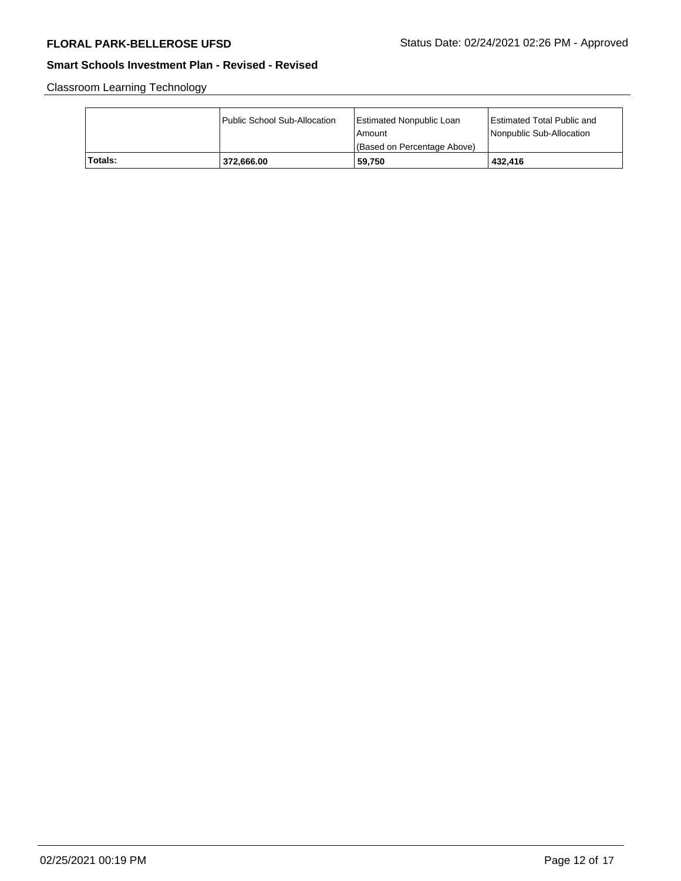Classroom Learning Technology

|         | Public School Sub-Allocation | <b>Estimated Nonpublic Loan</b><br>l Amount<br>(Based on Percentage Above) | <b>Estimated Total Public and</b><br>Nonpublic Sub-Allocation |
|---------|------------------------------|----------------------------------------------------------------------------|---------------------------------------------------------------|
| Totals: | 372.666.00                   | 59.750                                                                     | 432.416                                                       |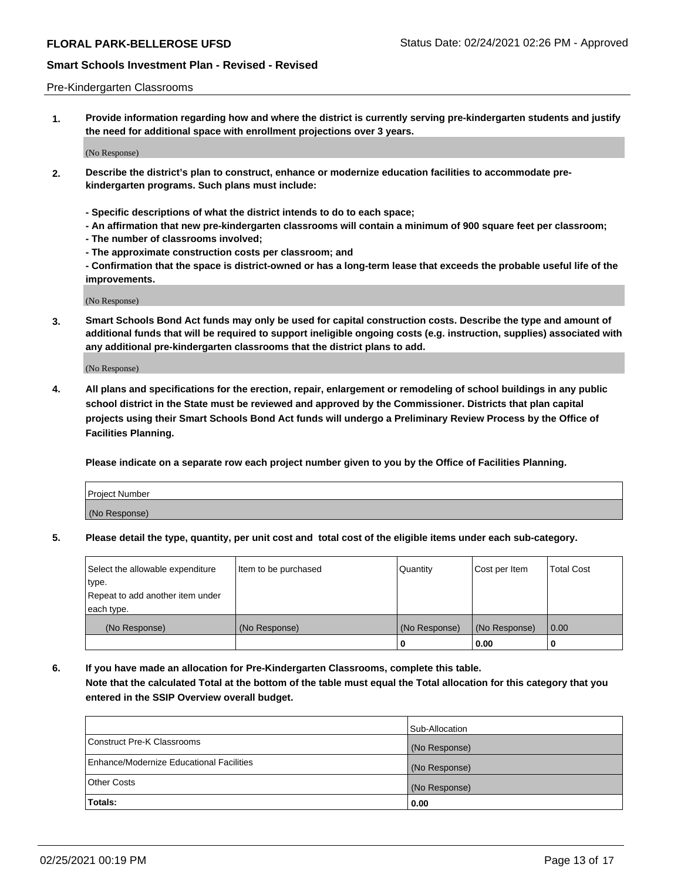## Pre-Kindergarten Classrooms

**1. Provide information regarding how and where the district is currently serving pre-kindergarten students and justify the need for additional space with enrollment projections over 3 years.**

(No Response)

- **2. Describe the district's plan to construct, enhance or modernize education facilities to accommodate prekindergarten programs. Such plans must include:**
	- **Specific descriptions of what the district intends to do to each space;**
	- **An affirmation that new pre-kindergarten classrooms will contain a minimum of 900 square feet per classroom;**
	- **The number of classrooms involved;**
	- **The approximate construction costs per classroom; and**
	- **Confirmation that the space is district-owned or has a long-term lease that exceeds the probable useful life of the improvements.**

(No Response)

**3. Smart Schools Bond Act funds may only be used for capital construction costs. Describe the type and amount of additional funds that will be required to support ineligible ongoing costs (e.g. instruction, supplies) associated with any additional pre-kindergarten classrooms that the district plans to add.**

(No Response)

**4. All plans and specifications for the erection, repair, enlargement or remodeling of school buildings in any public school district in the State must be reviewed and approved by the Commissioner. Districts that plan capital projects using their Smart Schools Bond Act funds will undergo a Preliminary Review Process by the Office of Facilities Planning.**

**Please indicate on a separate row each project number given to you by the Office of Facilities Planning.**

| Project Number |  |
|----------------|--|
| (No Response)  |  |
|                |  |

**5. Please detail the type, quantity, per unit cost and total cost of the eligible items under each sub-category.**

| Select the allowable expenditure | Item to be purchased | Quantity      | Cost per Item | <b>Total Cost</b> |
|----------------------------------|----------------------|---------------|---------------|-------------------|
| type.                            |                      |               |               |                   |
| Repeat to add another item under |                      |               |               |                   |
| each type.                       |                      |               |               |                   |
| (No Response)                    | (No Response)        | (No Response) | (No Response) | 0.00              |
|                                  |                      | υ             | 0.00          |                   |

**6. If you have made an allocation for Pre-Kindergarten Classrooms, complete this table. Note that the calculated Total at the bottom of the table must equal the Total allocation for this category that you entered in the SSIP Overview overall budget.**

|                                          | Sub-Allocation |
|------------------------------------------|----------------|
| Construct Pre-K Classrooms               | (No Response)  |
| Enhance/Modernize Educational Facilities | (No Response)  |
| <b>Other Costs</b>                       | (No Response)  |
| Totals:                                  | 0.00           |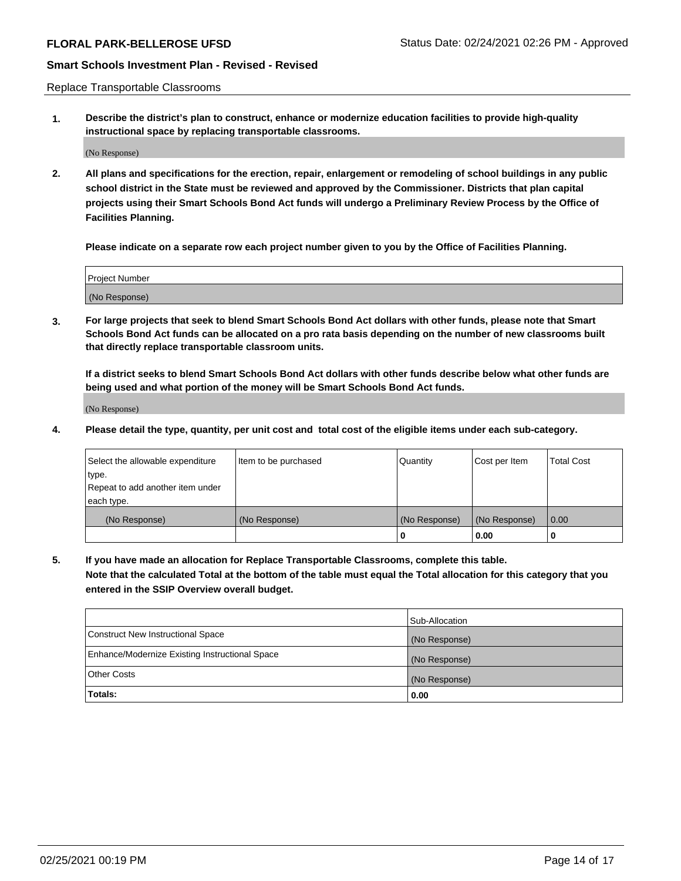Replace Transportable Classrooms

**1. Describe the district's plan to construct, enhance or modernize education facilities to provide high-quality instructional space by replacing transportable classrooms.**

(No Response)

**2. All plans and specifications for the erection, repair, enlargement or remodeling of school buildings in any public school district in the State must be reviewed and approved by the Commissioner. Districts that plan capital projects using their Smart Schools Bond Act funds will undergo a Preliminary Review Process by the Office of Facilities Planning.**

**Please indicate on a separate row each project number given to you by the Office of Facilities Planning.**

| Project Number |  |
|----------------|--|
|                |  |
|                |  |
|                |  |
| (No Response)  |  |
|                |  |
|                |  |

**3. For large projects that seek to blend Smart Schools Bond Act dollars with other funds, please note that Smart Schools Bond Act funds can be allocated on a pro rata basis depending on the number of new classrooms built that directly replace transportable classroom units.**

**If a district seeks to blend Smart Schools Bond Act dollars with other funds describe below what other funds are being used and what portion of the money will be Smart Schools Bond Act funds.**

(No Response)

**4. Please detail the type, quantity, per unit cost and total cost of the eligible items under each sub-category.**

| Select the allowable expenditure | Item to be purchased | Quantity      | Cost per Item | Total Cost |
|----------------------------------|----------------------|---------------|---------------|------------|
| ∣type.                           |                      |               |               |            |
| Repeat to add another item under |                      |               |               |            |
| each type.                       |                      |               |               |            |
| (No Response)                    | (No Response)        | (No Response) | (No Response) | 0.00       |
|                                  |                      | u             | 0.00          |            |

**5. If you have made an allocation for Replace Transportable Classrooms, complete this table. Note that the calculated Total at the bottom of the table must equal the Total allocation for this category that you entered in the SSIP Overview overall budget.**

|                                                | Sub-Allocation |
|------------------------------------------------|----------------|
| Construct New Instructional Space              | (No Response)  |
| Enhance/Modernize Existing Instructional Space | (No Response)  |
| Other Costs                                    | (No Response)  |
| Totals:                                        | 0.00           |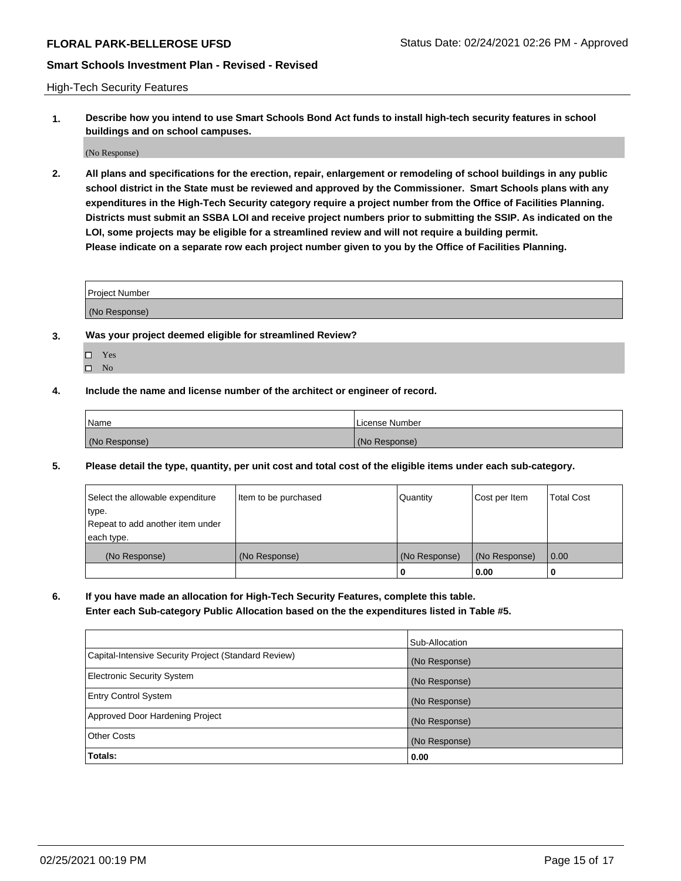High-Tech Security Features

**1. Describe how you intend to use Smart Schools Bond Act funds to install high-tech security features in school buildings and on school campuses.**

(No Response)

**2. All plans and specifications for the erection, repair, enlargement or remodeling of school buildings in any public school district in the State must be reviewed and approved by the Commissioner. Smart Schools plans with any expenditures in the High-Tech Security category require a project number from the Office of Facilities Planning. Districts must submit an SSBA LOI and receive project numbers prior to submitting the SSIP. As indicated on the LOI, some projects may be eligible for a streamlined review and will not require a building permit. Please indicate on a separate row each project number given to you by the Office of Facilities Planning.**

| <b>Project Number</b> |  |
|-----------------------|--|
| (No Response)         |  |

- **3. Was your project deemed eligible for streamlined Review?**
	- Yes
	- $\hfill \square$  No
- **4. Include the name and license number of the architect or engineer of record.**

| Name          | License Number |
|---------------|----------------|
| (No Response) | (No Response)  |

**5. Please detail the type, quantity, per unit cost and total cost of the eligible items under each sub-category.**

| Select the allowable expenditure | Item to be purchased | Quantity      | Cost per Item | Total Cost |
|----------------------------------|----------------------|---------------|---------------|------------|
| 'type.                           |                      |               |               |            |
| Repeat to add another item under |                      |               |               |            |
| each type.                       |                      |               |               |            |
| (No Response)                    | (No Response)        | (No Response) | (No Response) | 0.00       |
|                                  |                      | u             | 0.00          |            |

**6. If you have made an allocation for High-Tech Security Features, complete this table.**

**Enter each Sub-category Public Allocation based on the the expenditures listed in Table #5.**

|                                                      | Sub-Allocation |
|------------------------------------------------------|----------------|
| Capital-Intensive Security Project (Standard Review) | (No Response)  |
| <b>Electronic Security System</b>                    | (No Response)  |
| <b>Entry Control System</b>                          | (No Response)  |
| Approved Door Hardening Project                      | (No Response)  |
| <b>Other Costs</b>                                   | (No Response)  |
| Totals:                                              | 0.00           |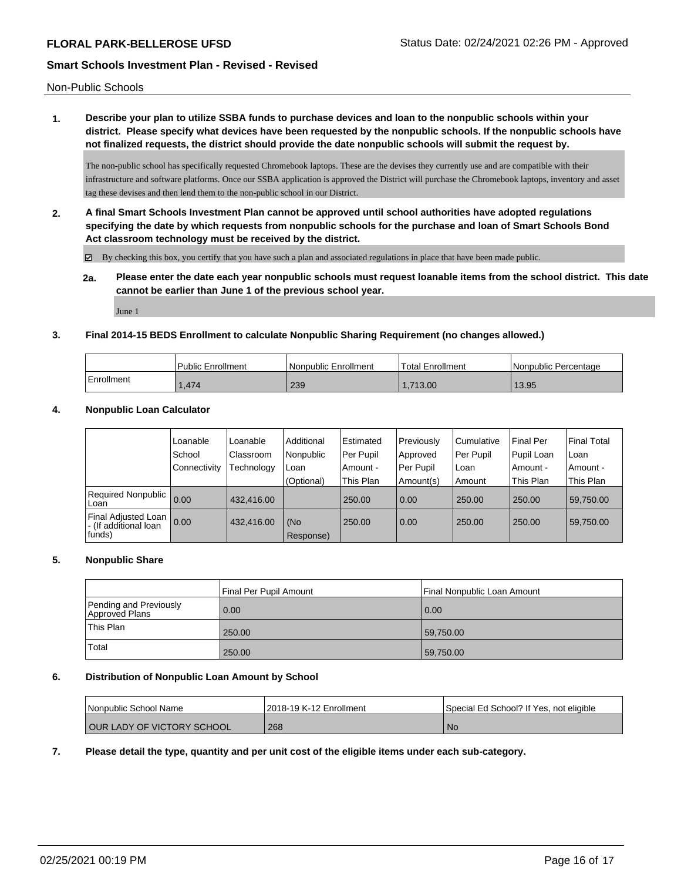Non-Public Schools

**1. Describe your plan to utilize SSBA funds to purchase devices and loan to the nonpublic schools within your district. Please specify what devices have been requested by the nonpublic schools. If the nonpublic schools have not finalized requests, the district should provide the date nonpublic schools will submit the request by.**

The non-public school has specifically requested Chromebook laptops. These are the devises they currently use and are compatible with their infrastructure and software platforms. Once our SSBA application is approved the District will purchase the Chromebook laptops, inventory and asset tag these devises and then lend them to the non-public school in our District.

**2. A final Smart Schools Investment Plan cannot be approved until school authorities have adopted regulations specifying the date by which requests from nonpublic schools for the purchase and loan of Smart Schools Bond Act classroom technology must be received by the district.**

By checking this box, you certify that you have such a plan and associated regulations in place that have been made public.

**2a. Please enter the date each year nonpublic schools must request loanable items from the school district. This date cannot be earlier than June 1 of the previous school year.**

June 1

## **3. Final 2014-15 BEDS Enrollment to calculate Nonpublic Sharing Requirement (no changes allowed.)**

|            | Public Enrollment | Nonpublic Enrollment | Total Enrollment | Nonpublic Percentage |
|------------|-------------------|----------------------|------------------|----------------------|
| Enrollment | 1.474             | 239                  | .713.00          | 13.95                |

## **4. Nonpublic Loan Calculator**

|                                                         | Loanable     | Loanable   | Additional | Estimated | Previously | Cumulative | <b>Final Per</b> | <b>Final Total</b> |
|---------------------------------------------------------|--------------|------------|------------|-----------|------------|------------|------------------|--------------------|
|                                                         | School       | Classroom  | Nonpublic  | Per Pupil | Approved   | Per Pupil  | Pupil Loan       | Loan               |
|                                                         | Connectivity | Technology | Loan       | Amount -  | Per Pupil  | Loan       | Amount -         | Amount -           |
|                                                         |              |            | (Optional) | This Plan | Amount(s)  | Amount     | This Plan        | This Plan          |
| Required Nonpublic  <br>Loan                            | 0.00         | 432,416.00 |            | 250.00    | 0.00       | 250.00     | 250.00           | 59,750.00          |
| Final Adjusted Loan<br>- (If additional loan<br> funds) | 0.00         | 432.416.00 | (No        | 250.00    | 0.00       | 250.00     | 250.00           | 59,750.00          |
|                                                         |              |            | Response)  |           |            |            |                  |                    |

# **5. Nonpublic Share**

|                                          | Final Per Pupil Amount | Final Nonpublic Loan Amount |
|------------------------------------------|------------------------|-----------------------------|
| Pending and Previously<br>Approved Plans | 0.00                   | 0.00                        |
| This Plan                                | 250.00                 | 59,750.00                   |
| Total                                    | 250.00                 | 59,750.00                   |

## **6. Distribution of Nonpublic Loan Amount by School**

| l Nonpublic School Name            | 2018-19 K-12 Enrollment | Special Ed School? If Yes, not eligible |
|------------------------------------|-------------------------|-----------------------------------------|
| <b>LOUR LADY OF VICTORY SCHOOL</b> | 268                     | <b>No</b>                               |

## **7. Please detail the type, quantity and per unit cost of the eligible items under each sub-category.**